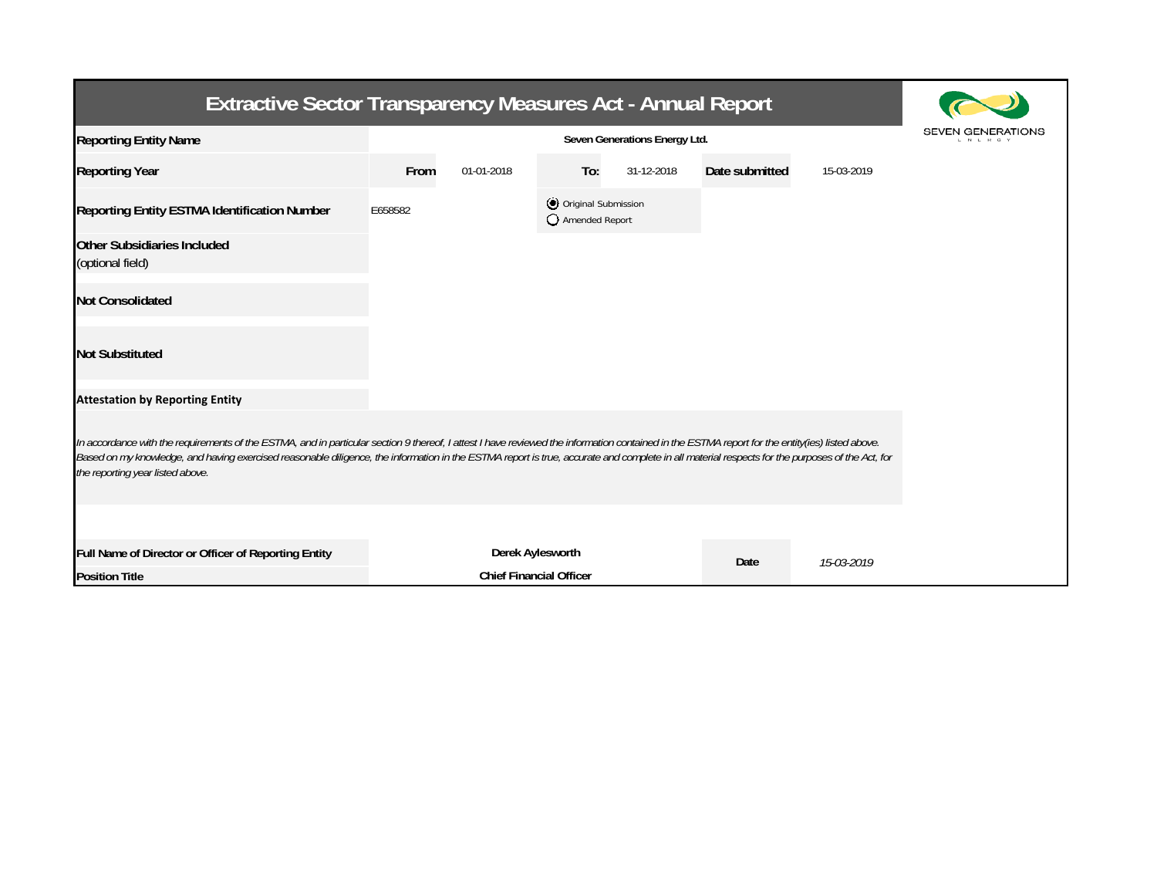| <b>Extractive Sector Transparency Measures Act - Annual Report</b>                                                                                                                                                                                                                                                                                                                                                                    |                                                    |            |                                         |            |                |            |  |  |  |
|---------------------------------------------------------------------------------------------------------------------------------------------------------------------------------------------------------------------------------------------------------------------------------------------------------------------------------------------------------------------------------------------------------------------------------------|----------------------------------------------------|------------|-----------------------------------------|------------|----------------|------------|--|--|--|
| <b>Reporting Entity Name</b>                                                                                                                                                                                                                                                                                                                                                                                                          | Seven Generations Energy Ltd.                      |            |                                         |            |                |            |  |  |  |
| <b>Reporting Year</b>                                                                                                                                                                                                                                                                                                                                                                                                                 | From                                               | 01-01-2018 | To:                                     | 31-12-2018 | Date submitted | 15-03-2019 |  |  |  |
| Reporting Entity ESTMA Identification Number                                                                                                                                                                                                                                                                                                                                                                                          | E658582                                            |            | O Original Submission<br>Amended Report |            |                |            |  |  |  |
| <b>Other Subsidiaries Included</b><br>(optional field)                                                                                                                                                                                                                                                                                                                                                                                |                                                    |            |                                         |            |                |            |  |  |  |
| <b>Not Consolidated</b>                                                                                                                                                                                                                                                                                                                                                                                                               |                                                    |            |                                         |            |                |            |  |  |  |
| <b>Not Substituted</b>                                                                                                                                                                                                                                                                                                                                                                                                                |                                                    |            |                                         |            |                |            |  |  |  |
| <b>Attestation by Reporting Entity</b>                                                                                                                                                                                                                                                                                                                                                                                                |                                                    |            |                                         |            |                |            |  |  |  |
| In accordance with the requirements of the ESTMA, and in particular section 9 thereof, I attest I have reviewed the information contained in the ESTMA report for the entity(ies) listed above.<br>Based on my knowledge, and having exercised reasonable diligence, the information in the ESTMA report is true, accurate and complete in all material respects for the purposes of the Act, for<br>the reporting year listed above. |                                                    |            |                                         |            |                |            |  |  |  |
| Full Name of Director or Officer of Reporting Entity                                                                                                                                                                                                                                                                                                                                                                                  |                                                    |            |                                         |            |                |            |  |  |  |
| <b>Position Title</b>                                                                                                                                                                                                                                                                                                                                                                                                                 | Derek Aylesworth<br><b>Chief Financial Officer</b> |            |                                         |            | Date           | 15-03-2019 |  |  |  |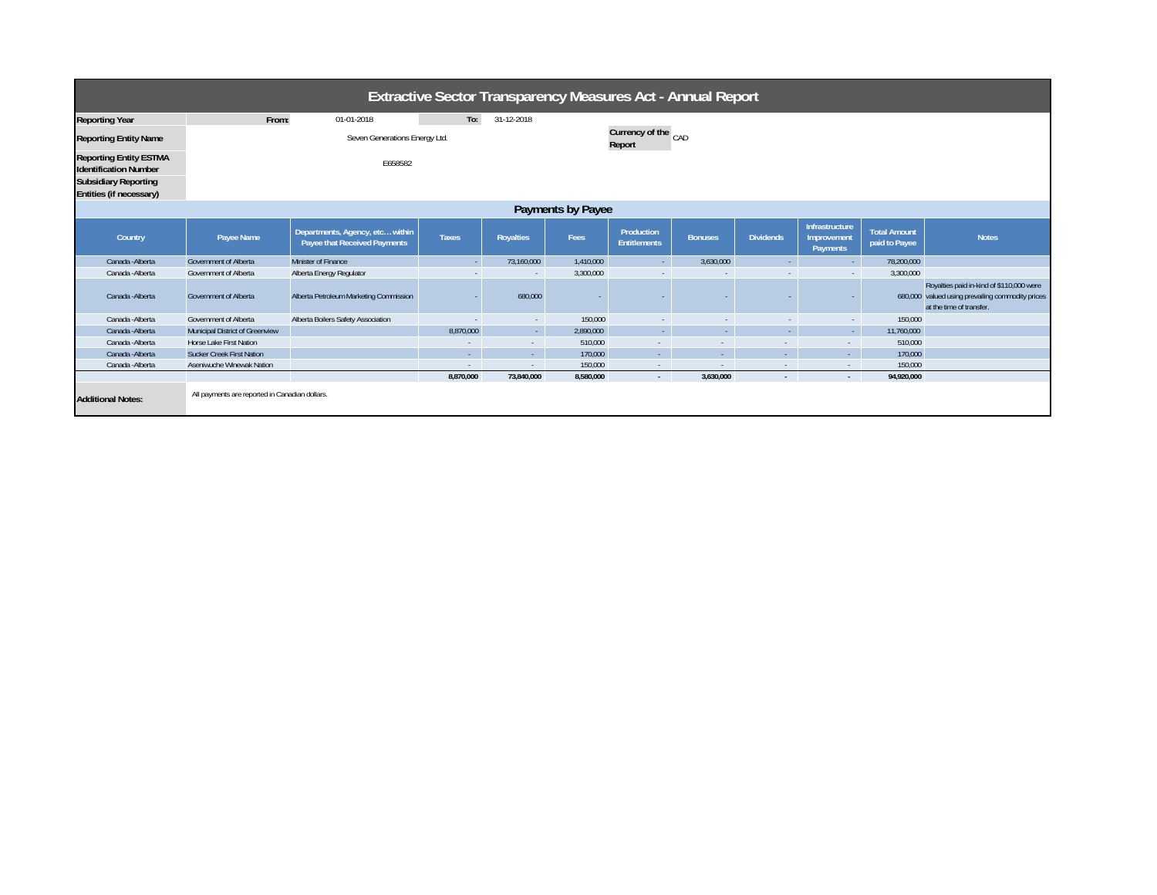| <b>Extractive Sector Transparency Measures Act - Annual Report</b>                                                      |                                                |                                                                 |              |                  |                               |                                   |                |                          |                                           |                                      |                                                                                                                          |
|-------------------------------------------------------------------------------------------------------------------------|------------------------------------------------|-----------------------------------------------------------------|--------------|------------------|-------------------------------|-----------------------------------|----------------|--------------------------|-------------------------------------------|--------------------------------------|--------------------------------------------------------------------------------------------------------------------------|
| <b>Reporting Year</b>                                                                                                   | From:                                          | 01-01-2018                                                      | To:          | 31-12-2018       |                               |                                   |                |                          |                                           |                                      |                                                                                                                          |
| <b>Reporting Entity Name</b>                                                                                            | Seven Generations Energy Ltd.                  |                                                                 |              |                  | Currency of the CAD<br>Report |                                   |                |                          |                                           |                                      |                                                                                                                          |
| <b>Reporting Entity ESTMA</b><br><b>Identification Number</b><br><b>Subsidiary Reporting</b><br>Entities (if necessary) | E658582                                        |                                                                 |              |                  |                               |                                   |                |                          |                                           |                                      |                                                                                                                          |
| Payments by Payee                                                                                                       |                                                |                                                                 |              |                  |                               |                                   |                |                          |                                           |                                      |                                                                                                                          |
| Country                                                                                                                 | Payee Name                                     | Departments, Agency, etc within<br>Payee that Received Payments | <b>Taxes</b> | <b>Royalties</b> | Fees                          | Production<br><b>Entitlements</b> | <b>Bonuses</b> | <b>Dividends</b>         | Infrastructure<br>Improvement<br>Payments | <b>Total Amount</b><br>paid to Payee | <b>Notes</b>                                                                                                             |
| Canada - Alberta                                                                                                        | <b>Government of Alberta</b>                   | Minister of Finance                                             | ÷.           | 73,160,000       | 1.410.000                     | $\sim$                            | 3,630,000      | $\sim$                   | <b>A</b>                                  | 78,200,000                           |                                                                                                                          |
| Canada - Alberta                                                                                                        | Government of Alberta                          | Alberta Energy Regulator                                        |              |                  | 3,300,000                     | $\sim$                            |                | $\overline{\phantom{a}}$ | $\sim$                                    | 3,300,000                            |                                                                                                                          |
| Canada - Alberta                                                                                                        | <b>Government of Alberta</b>                   | Alberta Petroleum Marketing Commission                          |              | 680,000          |                               |                                   |                |                          |                                           |                                      | Royalties paid in-kind of \$110,000 were<br>680,000 valued using prevailing commodity prices<br>at the time of transfer. |
| Canada - Alberta                                                                                                        | Government of Alberta                          | Alberta Boilers Safety Association                              | ×.           | $\sim$           | 150,000                       | $\sim$                            | $\sim$         | $\sim$                   | $\sim$                                    | 150,000                              |                                                                                                                          |
| Canada - Alberta                                                                                                        | <b>Municipal District of Greenview</b>         |                                                                 | 8.870.000    | $\sim$           | 2.890.000                     | $\sim$                            | $\sim$         | $\sim$                   | <b>Section</b>                            | 11.760.000                           |                                                                                                                          |
| Canada - Alberta                                                                                                        | Horse Lake First Nation                        |                                                                 | $\sim$       | $\sim$           | 510.000                       | $\Delta \sim 10^{-1}$             |                | $\sim$                   | $\sim$                                    | 510,000                              |                                                                                                                          |
| Canada - Alberta                                                                                                        | <b>Sucker Creek First Nation</b>               |                                                                 | ч.           | $\sim$           | 170,000                       | $\mathcal{L}_{\rm{max}}$          |                | A.                       | ×.                                        | 170,000                              |                                                                                                                          |
| Canada - Alberta                                                                                                        | Aseniwuche Winewak Nation                      |                                                                 | $\sim$       | $\sim$           | 150,000                       | $\sim 10^{-1}$                    | $\sim$         | $\sim$                   | $\sim$                                    | 150,000                              |                                                                                                                          |
|                                                                                                                         |                                                |                                                                 | 8,870,000    | 73,840,000       | 8,580,000                     | $\sim$                            | 3,630,000      | $\sim$                   | $\sim$                                    | 94,920,000                           |                                                                                                                          |
| <b>Additional Notes:</b>                                                                                                | All payments are reported in Canadian dollars. |                                                                 |              |                  |                               |                                   |                |                          |                                           |                                      |                                                                                                                          |